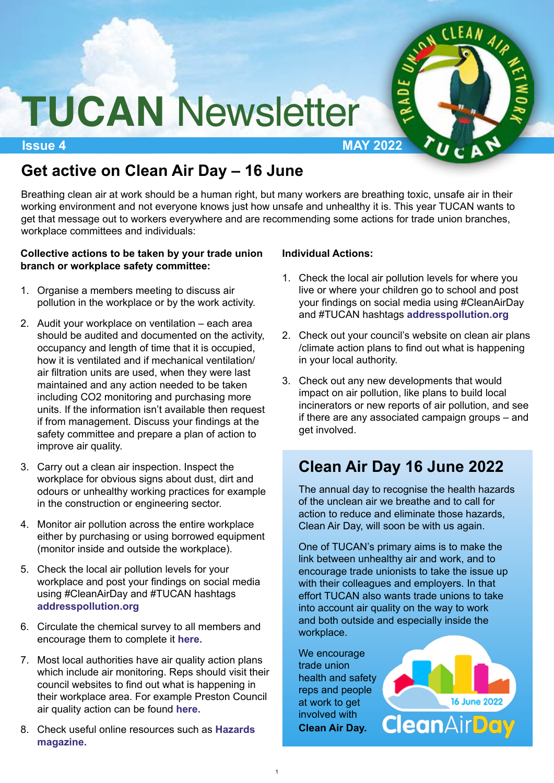

# **TUCAN** Newsletter

**Issue 4 MAY 2022**

## **Get active on Clean Air Day – 16 June**

Breathing clean air at work should be a human right, but many workers are breathing toxic, unsafe air in their working environment and not everyone knows just how unsafe and unhealthy it is. This year TUCAN wants to get that message out to workers everywhere and are recommending some actions for trade union branches, workplace committees and individuals:

#### **Collective actions to be taken by your trade union branch or workplace safety committee:**

- 1. Organise a members meeting to discuss air pollution in the workplace or by the work activity.
- 2. Audit your workplace on ventilation each area should be audited and documented on the activity, occupancy and length of time that it is occupied, how it is ventilated and if mechanical ventilation/ air filtration units are used, when they were last maintained and any action needed to be taken including CO2 monitoring and purchasing more units. If the information isn't available then request if from management. Discuss your findings at the safety committee and prepare a plan of action to improve air quality.
- 3. Carry out a clean air inspection. Inspect the workplace for obvious signs about dust, dirt and odours or unhealthy working practices for example in the construction or engineering sector.
- 4. Monitor air pollution across the entire workplace either by purchasing or using borrowed equipment (monitor inside and outside the workplace).
- 5. Check the local air pollution levels for your workplace and post your findings on social media using #CleanAirDay and #TUCAN hashtags **[addresspollution.org](https://www.addresspollution.org)**
- 6. [Circulate the chemical survey to all members and](https://www.surveymonkey.co.uk/r/6C6WWW6) encourage them to complete it **here.**
- 7. Most local authorities have air quality action plans which include air monitoring. Reps should visit their council websites to find out what is happening in their workplace area. For example Preston Council air quality action can be found **[here.](https://www.preston.gov.uk/article/1015/Air-quality)**
- 8. [Check useful online resources such as](https://www.hazards.org/workandhealth/airforce.htm) **Hazards magazine.**

#### **Individual Actions:**

- 1. Check the local air pollution levels for where you live or where your children go to school and post your findings on social media using #CleanAirDay and #TUCAN hashtags **[addresspollution.org](https://www.addresspollution.org)**
- 2. Check out your council's website on clean air plans /climate action plans to find out what is happening in your local authority.
- 3. Check out any new developments that would impact on air pollution, like plans to build local incinerators or new reports of air pollution, and see if there are any associated campaign groups – and get involved.

## **Clean Air Day 16 June 2022**

The annual day to recognise the health hazards of the unclean air we breathe and to call for action to reduce and eliminate those hazards, Clean Air Day, will soon be with us again.

One of TUCAN's primary aims is to make the link between unhealthy air and work, and to encourage trade unionists to take the issue up with their colleagues and employers. In that effort TUCAN also wants trade unions to take into account air quality on the way to work and both outside and especially inside the workplace.

We encourage trade union health and safet[y](https://www.actionforcleanair.org.uk/campaigns/clean-air-day) reps and people at work to get involved with **Clean Air Day.**

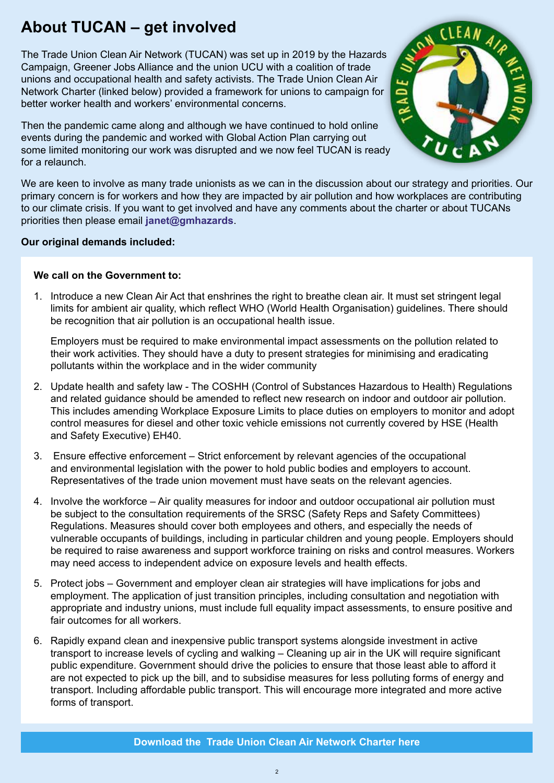## **About TUCAN – get involved**

The Trade Union Clean Air Network (TUCAN) was set up in 2019 by the Hazards Campaign, Greener Jobs Alliance and the union UCU with a coalition of trade unions and occupational health and safety activists. The Trade Union Clean Air Network Charter (linked below) provided a framework for unions to campaign for better worker health and workers' environmental concerns.

Then the pandemic came along and although we have continued to hold online events during the pandemic and worked with Global Action Plan carrying out some limited monitoring our work was disrupted and we now feel TUCAN is ready for a relaunch.



We are keen to involve as many trade unionists as we can in the discussion about our strategy and priorities. Our primary concern is for workers and how they are impacted by air pollution and how workplaces are contributing to our climate crisis. If you want to get involved and have any comments about the charter or about TUCANs priorities then please email **[janet@gmhazards](mailto:janet@gmhazards)**.

#### **Our original demands included:**

#### **We call on the Government to:**

1. Introduce a new Clean Air Act that enshrines the right to breathe clean air. It must set stringent legal limits for ambient air quality, which reflect WHO (World Health Organisation) guidelines. There should be recognition that air pollution is an occupational health issue.

Employers must be required to make environmental impact assessments on the pollution related to their work activities. They should have a duty to present strategies for minimising and eradicating pollutants within the workplace and in the wider community

- 2. Update health and safety law The COSHH (Control of Substances Hazardous to Health) Regulations and related guidance should be amended to reflect new research on indoor and outdoor air pollution. This includes amending Workplace Exposure Limits to place duties on employers to monitor and adopt control measures for diesel and other toxic vehicle emissions not currently covered by HSE (Health and Safety Executive) EH40.
- 3. Ensure effective enforcement Strict enforcement by relevant agencies of the occupational and environmental legislation with the power to hold public bodies and employers to account. Representatives of the trade union movement must have seats on the relevant agencies.
- 4. Involve the workforce Air quality measures for indoor and outdoor occupational air pollution must be subject to the consultation requirements of the SRSC (Safety Reps and Safety Committees) Regulations. Measures should cover both employees and others, and especially the needs of vulnerable occupants of buildings, including in particular children and young people. Employers should be required to raise awareness and support workforce training on risks and control measures. Workers may need access to independent advice on exposure levels and health effects.
- 5. Protect jobs Government and employer clean air strategies will have implications for jobs and employment. The application of just transition principles, including consultation and negotiation with appropriate and industry unions, must include full equality impact assessments, to ensure positive and fair outcomes for all workers.
- 6. Rapidly expand clean and inexpensive public transport systems alongside investment in active transport to increase levels of cycling and walking – Cleaning up air in the UK will require significant public expenditure. Government should drive the policies to ensure that those least able to afford it are not expected to pick up the bill, and to subsidise measures for less polluting forms of energy and transport. Including affordable public transport. This will encourage more integrated and more active forms of transport.